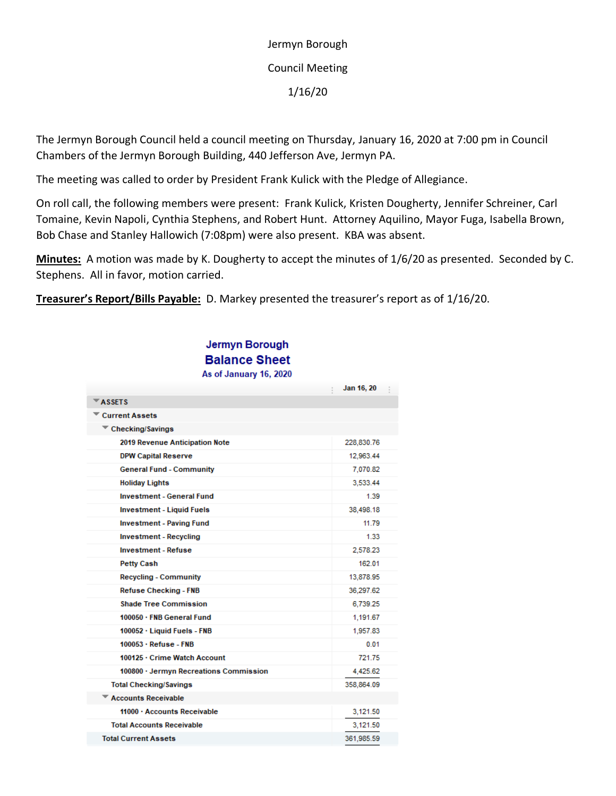Jermyn Borough Council Meeting 1/16/20

The Jermyn Borough Council held a council meeting on Thursday, January 16, 2020 at 7:00 pm in Council Chambers of the Jermyn Borough Building, 440 Jefferson Ave, Jermyn PA.

The meeting was called to order by President Frank Kulick with the Pledge of Allegiance.

On roll call, the following members were present: Frank Kulick, Kristen Dougherty, Jennifer Schreiner, Carl Tomaine, Kevin Napoli, Cynthia Stephens, and Robert Hunt. Attorney Aquilino, Mayor Fuga, Isabella Brown, Bob Chase and Stanley Hallowich (7:08pm) were also present. KBA was absent.

**Minutes:** A motion was made by K. Dougherty to accept the minutes of 1/6/20 as presented. Seconded by C. Stephens. All in favor, motion carried.

**Treasurer's Report/Bills Payable:** D. Markey presented the treasurer's report as of 1/16/20.

| Jermyn Borough         |  |  |
|------------------------|--|--|
| <b>Balance Sheet</b>   |  |  |
| As of January 16, 2020 |  |  |

| <b>AS OF JUILLALY TV, EVEV</b>         |            |  |  |  |
|----------------------------------------|------------|--|--|--|
|                                        | Jan 16, 20 |  |  |  |
| $\overline{\phantom{a}}$ ASSETS        |            |  |  |  |
| <b>Current Assets</b>                  |            |  |  |  |
| $\blacktriangledown$ Checking/Savings  |            |  |  |  |
| 2019 Revenue Anticipation Note         | 228,830.76 |  |  |  |
| <b>DPW Capital Reserve</b>             | 12,963.44  |  |  |  |
| <b>General Fund - Community</b>        | 7,070.82   |  |  |  |
| <b>Holiday Lights</b>                  | 3,533.44   |  |  |  |
| <b>Investment - General Fund</b>       | 1.39       |  |  |  |
| <b>Investment - Liquid Fuels</b>       | 38,498.18  |  |  |  |
| <b>Investment - Paving Fund</b>        | 11.79      |  |  |  |
| <b>Investment - Recycling</b>          | 1.33       |  |  |  |
| <b>Investment - Refuse</b>             | 2,578.23   |  |  |  |
| <b>Petty Cash</b>                      | 162.01     |  |  |  |
| <b>Recycling - Community</b>           | 13,878.95  |  |  |  |
| <b>Refuse Checking - FNB</b>           | 36,297.62  |  |  |  |
| <b>Shade Tree Commission</b>           | 6,739.25   |  |  |  |
| 100050 · FNB General Fund              | 1,191.67   |  |  |  |
| 100052 · Liquid Fuels - FNB            | 1,957.83   |  |  |  |
| $100053 \cdot$ Refuse - FNB            | 0.01       |  |  |  |
| 100125 · Crime Watch Account           | 721.75     |  |  |  |
| 100800 · Jermyn Recreations Commission | 4,425.62   |  |  |  |
| <b>Total Checking/Savings</b>          | 358,864.09 |  |  |  |
| <b>Accounts Receivable</b>             |            |  |  |  |
| 11000 · Accounts Receivable            | 3,121.50   |  |  |  |
| <b>Total Accounts Receivable</b>       | 3,121.50   |  |  |  |
| <b>Total Current Assets</b>            | 361,985.59 |  |  |  |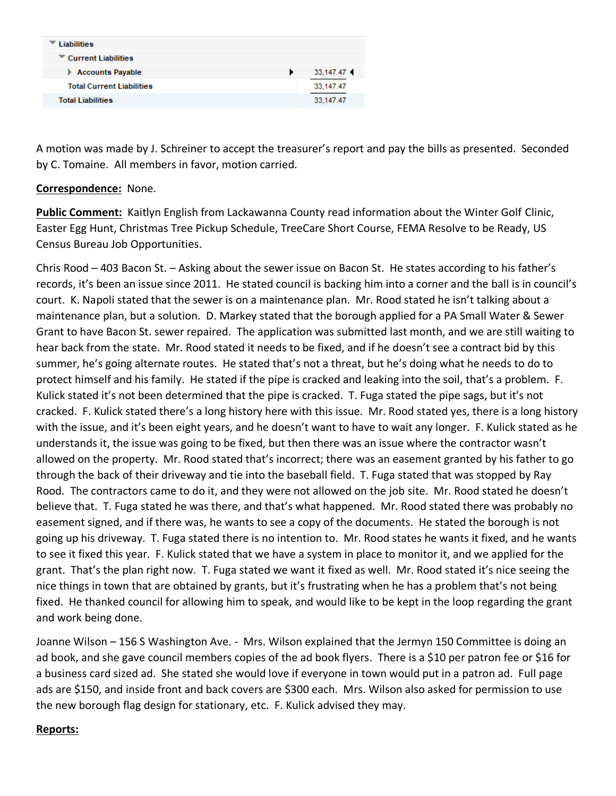| <b>Liabilities</b>               |           |
|----------------------------------|-----------|
| Current Liabilities              |           |
| <b>Accounts Payable</b>          | 33,147.47 |
| <b>Total Current Liabilities</b> | 33,147.47 |
| <b>Total Liabilities</b>         | 33.147.47 |

A motion was made by J. Schreiner to accept the treasurer's report and pay the bills as presented. Seconded by C. Tomaine. All members in favor, motion carried.

## **Correspondence:** None.

**Public Comment:** Kaitlyn English from Lackawanna County read information about the Winter Golf Clinic, Easter Egg Hunt, Christmas Tree Pickup Schedule, TreeCare Short Course, FEMA Resolve to be Ready, US Census Bureau Job Opportunities.

Chris Rood – 403 Bacon St. – Asking about the sewer issue on Bacon St. He states according to his father's records, it's been an issue since 2011. He stated council is backing him into a corner and the ball is in council's court. K. Napoli stated that the sewer is on a maintenance plan. Mr. Rood stated he isn't talking about a maintenance plan, but a solution. D. Markey stated that the borough applied for a PA Small Water & Sewer Grant to have Bacon St. sewer repaired. The application was submitted last month, and we are still waiting to hear back from the state. Mr. Rood stated it needs to be fixed, and if he doesn't see a contract bid by this summer, he's going alternate routes. He stated that's not a threat, but he's doing what he needs to do to protect himself and his family. He stated if the pipe is cracked and leaking into the soil, that's a problem. F. Kulick stated it's not been determined that the pipe is cracked. T. Fuga stated the pipe sags, but it's not cracked. F. Kulick stated there's a long history here with this issue. Mr. Rood stated yes, there is a long history with the issue, and it's been eight years, and he doesn't want to have to wait any longer. F. Kulick stated as he understands it, the issue was going to be fixed, but then there was an issue where the contractor wasn't allowed on the property. Mr. Rood stated that's incorrect; there was an easement granted by his father to go through the back of their driveway and tie into the baseball field. T. Fuga stated that was stopped by Ray Rood. The contractors came to do it, and they were not allowed on the job site. Mr. Rood stated he doesn't believe that. T. Fuga stated he was there, and that's what happened. Mr. Rood stated there was probably no easement signed, and if there was, he wants to see a copy of the documents. He stated the borough is not going up his driveway. T. Fuga stated there is no intention to. Mr. Rood states he wants it fixed, and he wants to see it fixed this year. F. Kulick stated that we have a system in place to monitor it, and we applied for the grant. That's the plan right now. T. Fuga stated we want it fixed as well. Mr. Rood stated it's nice seeing the nice things in town that are obtained by grants, but it's frustrating when he has a problem that's not being fixed. He thanked council for allowing him to speak, and would like to be kept in the loop regarding the grant and work being done.

Joanne Wilson – 156 S Washington Ave. - Mrs. Wilson explained that the Jermyn 150 Committee is doing an ad book, and she gave council members copies of the ad book flyers. There is a \$10 per patron fee or \$16 for a business card sized ad. She stated she would love if everyone in town would put in a patron ad. Full page ads are \$150, and inside front and back covers are \$300 each. Mrs. Wilson also asked for permission to use the new borough flag design for stationary, etc. F. Kulick advised they may.

## **Reports:**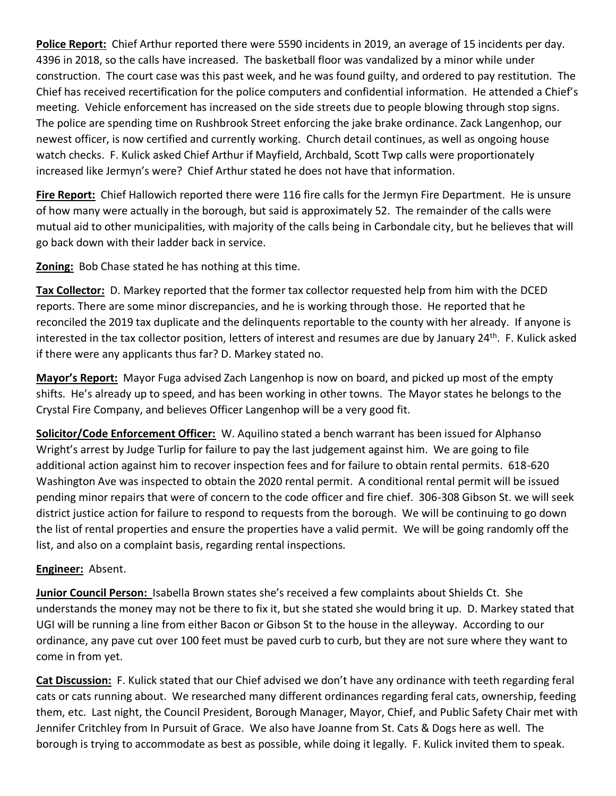**Police Report:** Chief Arthur reported there were 5590 incidents in 2019, an average of 15 incidents per day. 4396 in 2018, so the calls have increased. The basketball floor was vandalized by a minor while under construction. The court case was this past week, and he was found guilty, and ordered to pay restitution. The Chief has received recertification for the police computers and confidential information. He attended a Chief's meeting. Vehicle enforcement has increased on the side streets due to people blowing through stop signs. The police are spending time on Rushbrook Street enforcing the jake brake ordinance. Zack Langenhop, our newest officer, is now certified and currently working. Church detail continues, as well as ongoing house watch checks. F. Kulick asked Chief Arthur if Mayfield, Archbald, Scott Twp calls were proportionately increased like Jermyn's were? Chief Arthur stated he does not have that information.

**Fire Report:** Chief Hallowich reported there were 116 fire calls for the Jermyn Fire Department. He is unsure of how many were actually in the borough, but said is approximately 52. The remainder of the calls were mutual aid to other municipalities, with majority of the calls being in Carbondale city, but he believes that will go back down with their ladder back in service.

**Zoning:** Bob Chase stated he has nothing at this time.

**Tax Collector:** D. Markey reported that the former tax collector requested help from him with the DCED reports. There are some minor discrepancies, and he is working through those. He reported that he reconciled the 2019 tax duplicate and the delinquents reportable to the county with her already. If anyone is interested in the tax collector position, letters of interest and resumes are due by January 24<sup>th</sup>. F. Kulick asked if there were any applicants thus far? D. Markey stated no.

**Mayor's Report:** Mayor Fuga advised Zach Langenhop is now on board, and picked up most of the empty shifts. He's already up to speed, and has been working in other towns. The Mayor states he belongs to the Crystal Fire Company, and believes Officer Langenhop will be a very good fit.

**Solicitor/Code Enforcement Officer:** W. Aquilino stated a bench warrant has been issued for Alphanso Wright's arrest by Judge Turlip for failure to pay the last judgement against him. We are going to file additional action against him to recover inspection fees and for failure to obtain rental permits. 618-620 Washington Ave was inspected to obtain the 2020 rental permit. A conditional rental permit will be issued pending minor repairs that were of concern to the code officer and fire chief. 306-308 Gibson St. we will seek district justice action for failure to respond to requests from the borough. We will be continuing to go down the list of rental properties and ensure the properties have a valid permit. We will be going randomly off the list, and also on a complaint basis, regarding rental inspections.

## **Engineer:** Absent.

**Junior Council Person:** Isabella Brown states she's received a few complaints about Shields Ct. She understands the money may not be there to fix it, but she stated she would bring it up. D. Markey stated that UGI will be running a line from either Bacon or Gibson St to the house in the alleyway. According to our ordinance, any pave cut over 100 feet must be paved curb to curb, but they are not sure where they want to come in from yet.

**Cat Discussion:** F. Kulick stated that our Chief advised we don't have any ordinance with teeth regarding feral cats or cats running about. We researched many different ordinances regarding feral cats, ownership, feeding them, etc. Last night, the Council President, Borough Manager, Mayor, Chief, and Public Safety Chair met with Jennifer Critchley from In Pursuit of Grace. We also have Joanne from St. Cats & Dogs here as well. The borough is trying to accommodate as best as possible, while doing it legally. F. Kulick invited them to speak.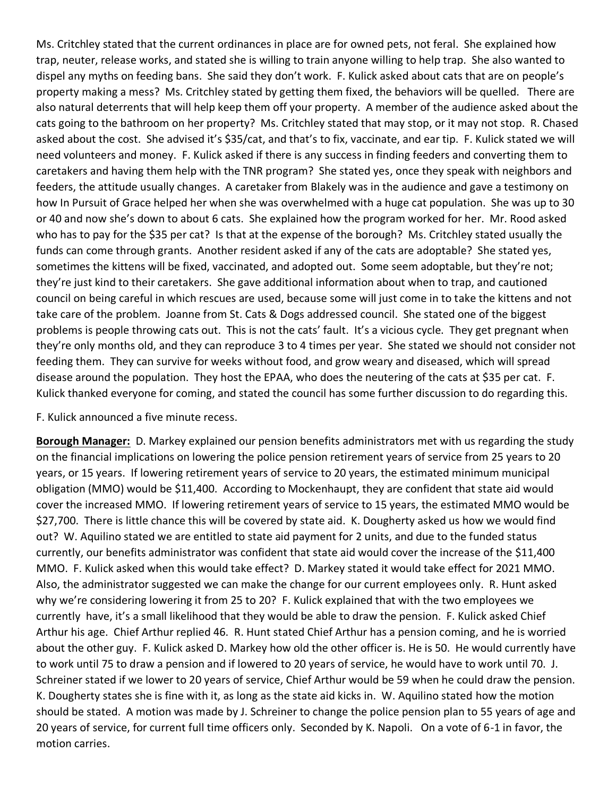Ms. Critchley stated that the current ordinances in place are for owned pets, not feral. She explained how trap, neuter, release works, and stated she is willing to train anyone willing to help trap. She also wanted to dispel any myths on feeding bans. She said they don't work. F. Kulick asked about cats that are on people's property making a mess? Ms. Critchley stated by getting them fixed, the behaviors will be quelled. There are also natural deterrents that will help keep them off your property. A member of the audience asked about the cats going to the bathroom on her property? Ms. Critchley stated that may stop, or it may not stop. R. Chased asked about the cost. She advised it's \$35/cat, and that's to fix, vaccinate, and ear tip. F. Kulick stated we will need volunteers and money. F. Kulick asked if there is any success in finding feeders and converting them to caretakers and having them help with the TNR program? She stated yes, once they speak with neighbors and feeders, the attitude usually changes. A caretaker from Blakely was in the audience and gave a testimony on how In Pursuit of Grace helped her when she was overwhelmed with a huge cat population. She was up to 30 or 40 and now she's down to about 6 cats. She explained how the program worked for her. Mr. Rood asked who has to pay for the \$35 per cat? Is that at the expense of the borough? Ms. Critchley stated usually the funds can come through grants. Another resident asked if any of the cats are adoptable? She stated yes, sometimes the kittens will be fixed, vaccinated, and adopted out. Some seem adoptable, but they're not; they're just kind to their caretakers. She gave additional information about when to trap, and cautioned council on being careful in which rescues are used, because some will just come in to take the kittens and not take care of the problem. Joanne from St. Cats & Dogs addressed council. She stated one of the biggest problems is people throwing cats out. This is not the cats' fault. It's a vicious cycle. They get pregnant when they're only months old, and they can reproduce 3 to 4 times per year. She stated we should not consider not feeding them. They can survive for weeks without food, and grow weary and diseased, which will spread disease around the population. They host the EPAA, who does the neutering of the cats at \$35 per cat. F. Kulick thanked everyone for coming, and stated the council has some further discussion to do regarding this.

F. Kulick announced a five minute recess.

**Borough Manager:** D. Markey explained our pension benefits administrators met with us regarding the study on the financial implications on lowering the police pension retirement years of service from 25 years to 20 years, or 15 years. If lowering retirement years of service to 20 years, the estimated minimum municipal obligation (MMO) would be \$11,400. According to Mockenhaupt, they are confident that state aid would cover the increased MMO. If lowering retirement years of service to 15 years, the estimated MMO would be \$27,700. There is little chance this will be covered by state aid. K. Dougherty asked us how we would find out? W. Aquilino stated we are entitled to state aid payment for 2 units, and due to the funded status currently, our benefits administrator was confident that state aid would cover the increase of the \$11,400 MMO. F. Kulick asked when this would take effect? D. Markey stated it would take effect for 2021 MMO. Also, the administrator suggested we can make the change for our current employees only. R. Hunt asked why we're considering lowering it from 25 to 20? F. Kulick explained that with the two employees we currently have, it's a small likelihood that they would be able to draw the pension. F. Kulick asked Chief Arthur his age. Chief Arthur replied 46. R. Hunt stated Chief Arthur has a pension coming, and he is worried about the other guy. F. Kulick asked D. Markey how old the other officer is. He is 50. He would currently have to work until 75 to draw a pension and if lowered to 20 years of service, he would have to work until 70. J. Schreiner stated if we lower to 20 years of service, Chief Arthur would be 59 when he could draw the pension. K. Dougherty states she is fine with it, as long as the state aid kicks in. W. Aquilino stated how the motion should be stated. A motion was made by J. Schreiner to change the police pension plan to 55 years of age and 20 years of service, for current full time officers only. Seconded by K. Napoli. On a vote of 6-1 in favor, the motion carries.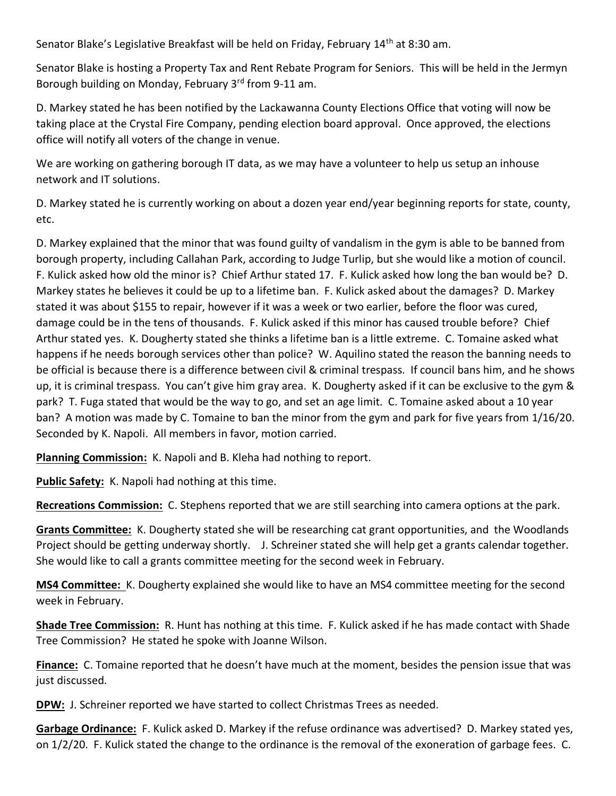Senator Blake's Legislative Breakfast will be held on Friday, February 14<sup>th</sup> at 8:30 am.

Senator Blake is hosting a Property Tax and Rent Rebate Program for Seniors. This will be held in the Jermyn Borough building on Monday, February 3<sup>rd</sup> from 9-11 am.

D. Markey stated he has been notified by the Lackawanna County Elections Office that voting will now be taking place at the Crystal Fire Company, pending election board approval. Once approved, the elections office will notify all voters of the change in venue.

We are working on gathering borough IT data, as we may have a volunteer to help us setup an inhouse network and IT solutions.

D. Markey stated he is currently working on about a dozen year end/year beginning reports for state, county, etc.

D. Markey explained that the minor that was found guilty of vandalism in the gym is able to be banned from borough property, including Callahan Park, according to Judge Turlip, but she would like a motion of council. F. Kulick asked how old the minor is? Chief Arthur stated 17. F. Kulick asked how long the ban would be? D. Markey states he believes it could be up to a lifetime ban. F. Kulick asked about the damages? D. Markey stated it was about \$155 to repair, however if it was a week or two earlier, before the floor was cured, damage could be in the tens of thousands. F. Kulick asked if this minor has caused trouble before? Chief Arthur stated yes. K. Dougherty stated she thinks a lifetime ban is a little extreme. C. Tomaine asked what happens if he needs borough services other than police? W. Aquilino stated the reason the banning needs to be official is because there is a difference between civil & criminal trespass. If council bans him, and he shows up, it is criminal trespass. You can't give him gray area. K. Dougherty asked if it can be exclusive to the gym & park? T. Fuga stated that would be the way to go, and set an age limit. C. Tomaine asked about a 10 year ban? A motion was made by C. Tomaine to ban the minor from the gym and park for five years from 1/16/20. Seconded by K. Napoli. All members in favor, motion carried.

**Planning Commission:** K. Napoli and B. Kleha had nothing to report.

**Public Safety:** K. Napoli had nothing at this time.

**Recreations Commission:** C. Stephens reported that we are still searching into camera options at the park.

**Grants Committee:** K. Dougherty stated she will be researching cat grant opportunities, and the Woodlands Project should be getting underway shortly. J. Schreiner stated she will help get a grants calendar together. She would like to call a grants committee meeting for the second week in February.

**MS4 Committee:** K. Dougherty explained she would like to have an MS4 committee meeting for the second week in February.

**Shade Tree Commission:** R. Hunt has nothing at this time. F. Kulick asked if he has made contact with Shade Tree Commission? He stated he spoke with Joanne Wilson.

**Finance:** C. Tomaine reported that he doesn't have much at the moment, besides the pension issue that was just discussed.

**DPW:** J. Schreiner reported we have started to collect Christmas Trees as needed.

**Garbage Ordinance:** F. Kulick asked D. Markey if the refuse ordinance was advertised? D. Markey stated yes, on 1/2/20. F. Kulick stated the change to the ordinance is the removal of the exoneration of garbage fees. C.